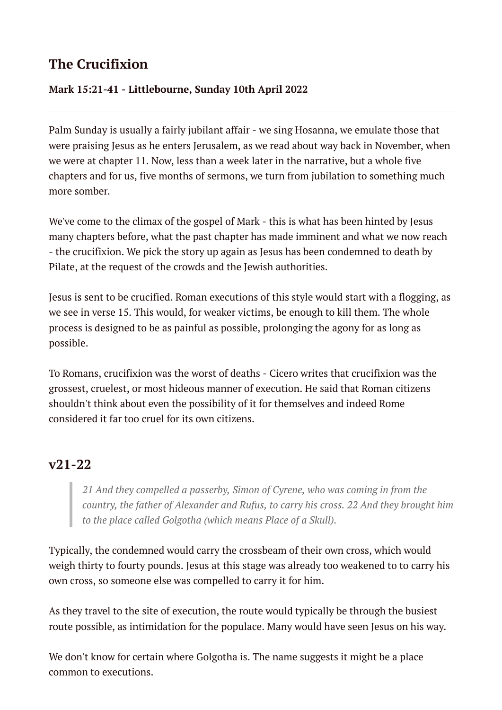# **The Crucifixion**

#### **Mark 15:21-41 - Littlebourne, Sunday 10th April 2022**

Palm Sunday is usually a fairly jubilant affair - we sing Hosanna, we emulate those that were praising Jesus as he enters Jerusalem, as we read about way back in November, when we were at chapter 11. Now, less than a week later in the narrative, but a whole five chapters and for us, five months of sermons, we turn from jubilation to something much more somber.

We've come to the climax of the gospel of Mark - this is what has been hinted by Jesus many chapters before, what the past chapter has made imminent and what we now reach - the crucifixion. We pick the story up again as Jesus has been condemned to death by Pilate, at the request of the crowds and the Jewish authorities.

Jesus is sent to be crucified. Roman executions of this style would start with a flogging, as we see in verse 15. This would, for weaker victims, be enough to kill them. The whole process is designed to be as painful as possible, prolonging the agony for as long as possible.

To Romans, crucifixion was the worst of deaths - Cicero writes that crucifixion was the grossest, cruelest, or most hideous manner of execution. He said that Roman citizens shouldn't think about even the possibility of it for themselves and indeed Rome considered it far too cruel for its own citizens.

## **v21-22**

*21 And they compelled a passerby, Simon of Cyrene, who was coming in from the country, the father of Alexander and Rufus, to carry his cross. 22 And they brought him to the place called Golgotha (which means Place of a Skull).*

Typically, the condemned would carry the crossbeam of their own cross, which would weigh thirty to fourty pounds. Jesus at this stage was already too weakened to to carry his own cross, so someone else was compelled to carry it for him.

As they travel to the site of execution, the route would typically be through the busiest route possible, as intimidation for the populace. Many would have seen Jesus on his way.

We don't know for certain where Golgotha is. The name suggests it might be a place common to executions.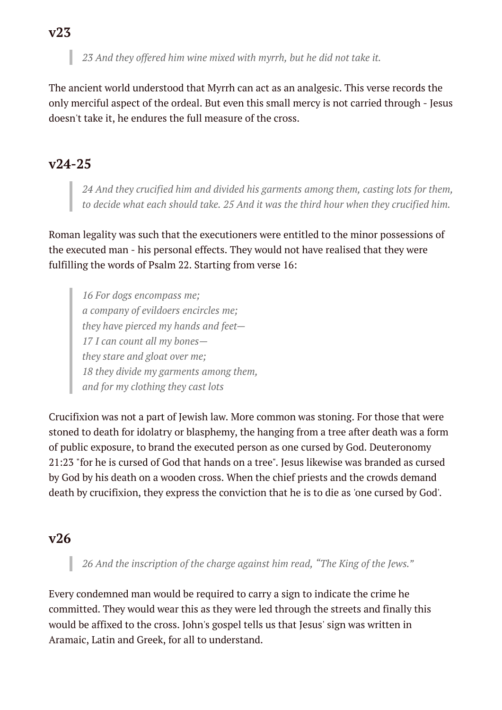The ancient world understood that Myrrh can act as an analgesic. This verse records the only merciful aspect of the ordeal. But even this small mercy is not carried through - Jesus doesn't take it, he endures the full measure of the cross.

### **v24-25**

*24 And they crucified him and divided his garments among them, casting lots for them, to decide what each should take. 25 And it was the third hour when they crucified him.*

Roman legality was such that the executioners were entitled to the minor possessions of the executed man - his personal effects. They would not have realised that they were fulfilling the words of Psalm 22. Starting from verse 16:

*16 For dogs encompass me; a company of evildoers encircles me; they have pierced my hands and feet— 17 I can count all my bones they stare and gloat over me; 18 they divide my garments among them, and for my clothing they cast lots*

Crucifixion was not a part of Jewish law. More common was stoning. For those that were stoned to death for idolatry or blasphemy, the hanging from a tree after death was a form of public exposure, to brand the executed person as one cursed by God. Deuteronomy 21:23 "for he is cursed of God that hands on a tree". Jesus likewise was branded as cursed by God by his death on a wooden cross. When the chief priests and the crowds demand death by crucifixion, they express the conviction that he is to die as 'one cursed by God'.

### **v26**

*26 And the inscription of the charge against him read, "The King of the Jews."*

Every condemned man would be required to carry a sign to indicate the crime he committed. They would wear this as they were led through the streets and finally this would be affixed to the cross. John's gospel tells us that Jesus' sign was written in Aramaic, Latin and Greek, for all to understand.

#### **v23**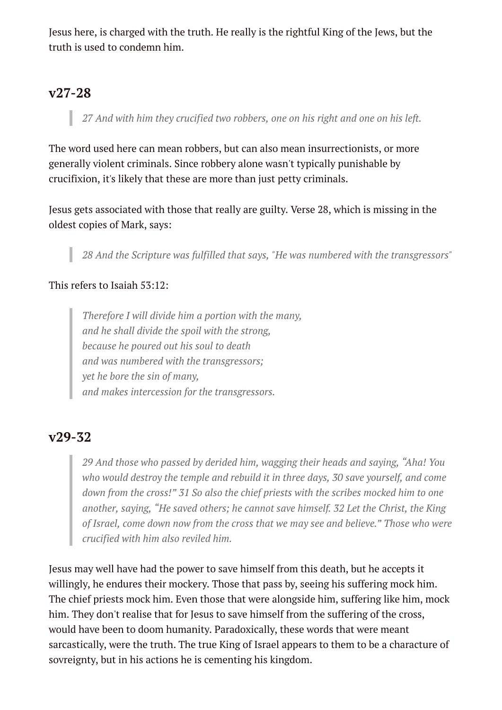Jesus here, is charged with the truth. He really is the rightful King of the Jews, but the truth is used to condemn him.

## **v27-28**

*27 And with him they crucified two robbers, one on his right and one on his left.*

The word used here can mean robbers, but can also mean insurrectionists, or more generally violent criminals. Since robbery alone wasn't typically punishable by crucifixion, it's likely that these are more than just petty criminals.

Jesus gets associated with those that really are guilty. Verse 28, which is missing in the oldest copies of Mark, says:

*28 And the Scripture was fulfilled that says, "He was numbered with the transgressors"*

#### This refers to Isaiah 53:12:

*Therefore I will divide him a portion with the many, and he shall divide the spoil with the strong, because he poured out his soul to death and was numbered with the transgressors; yet he bore the sin of many, and makes intercession for the transgressors.*

### **v29-32**

*29 And those who passed by derided him, wagging their heads and saying, "Aha! You who would destroy the temple and rebuild it in three days, 30 save yourself, and come down from the cross!" 31 So also the chief priests with the scribes mocked him to one another, saying, "He saved others; he cannot save himself. 32 Let the Christ, the King of Israel, come down now from the cross that we may see and believe." Those who were crucified with him also reviled him.*

Jesus may well have had the power to save himself from this death, but he accepts it willingly, he endures their mockery. Those that pass by, seeing his suffering mock him. The chief priests mock him. Even those that were alongside him, suffering like him, mock him. They don't realise that for Jesus to save himself from the suffering of the cross, would have been to doom humanity. Paradoxically, these words that were meant sarcastically, were the truth. The true King of Israel appears to them to be a characture of sovreignty, but in his actions he is cementing his kingdom.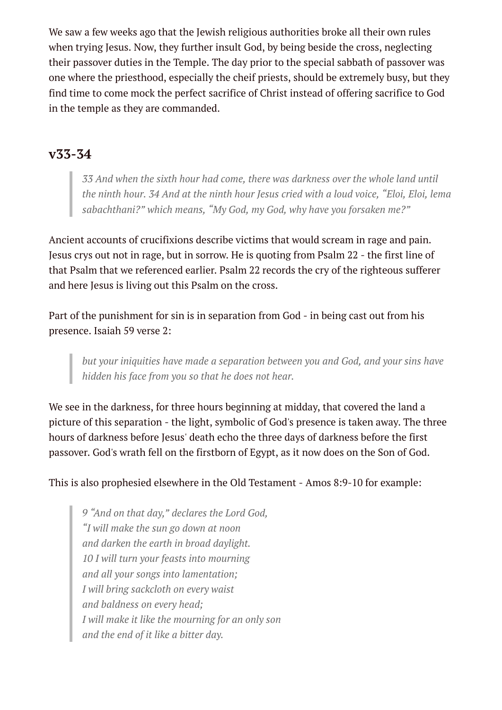We saw a few weeks ago that the Jewish religious authorities broke all their own rules when trying Jesus. Now, they further insult God, by being beside the cross, neglecting their passover duties in the Temple. The day prior to the special sabbath of passover was one where the priesthood, especially the cheif priests, should be extremely busy, but they find time to come mock the perfect sacrifice of Christ instead of offering sacrifice to God in the temple as they are commanded.

## **v33-34**

*33 And when the sixth hour had come, there was darkness over the whole land until the ninth hour. 34 And at the ninth hour Jesus cried with a loud voice, "Eloi, Eloi, lema sabachthani?" which means, "My God, my God, why have you forsaken me?"*

Ancient accounts of crucifixions describe victims that would scream in rage and pain. Jesus crys out not in rage, but in sorrow. He is quoting from Psalm 22 - the first line of that Psalm that we referenced earlier. Psalm 22 records the cry of the righteous sufferer and here Jesus is living out this Psalm on the cross.

Part of the punishment for sin is in separation from God - in being cast out from his presence. Isaiah 59 verse 2:

*but your iniquities have made a separation between you and God, and your sins have hidden his face from you so that he does not hear.*

We see in the darkness, for three hours beginning at midday, that covered the land a picture of this separation - the light, symbolic of God's presence is taken away. The three hours of darkness before Jesus' death echo the three days of darkness before the first passover. God's wrath fell on the firstborn of Egypt, as it now does on the Son of God.

This is also prophesied elsewhere in the Old Testament - Amos 8:9-10 for example:

*9 "And on that day," declares the Lord God, "I will make the sun go down at noon and darken the earth in broad daylight. 10 I will turn your feasts into mourning and all your songs into lamentation; I will bring sackcloth on every waist and baldness on every head; I will make it like the mourning for an only son and the end of it like a bitter day.*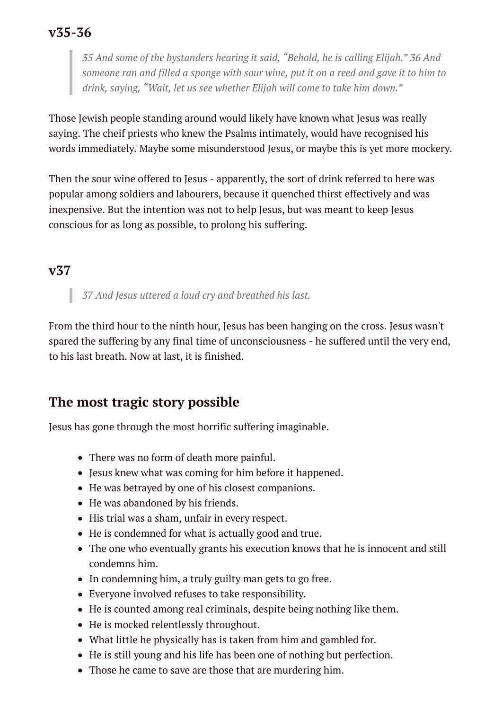## **v35-36**

*35 And some of the bystanders hearing it said, "Behold, he is calling Elijah." 36 And* someone ran and filled a sponge with sour wine, put it on a reed and gave it to him to *drink, saying, "Wait, let us see whether Elijah will come to take him down."*

Those Jewish people standing around would likely have known what Jesus was really saying. The cheif priests who knew the Psalms intimately, would have recognised his words immediately. Maybe some misunderstood Jesus, or maybe this is yet more mockery.

Then the sour wine offered to Jesus - apparently, the sort of drink referred to here was popular among soldiers and labourers, because it quenched thirst effectively and was inexpensive. But the intention was not to help Jesus, but was meant to keep Jesus conscious for as long as possible, to prolong his suffering.

### **v37**

*37 And Jesus uttered a loud cry and breathed his last.*

From the third hour to the ninth hour, Jesus has been hanging on the cross. Jesus wasn't spared the suffering by any final time of unconsciousness - he suffered until the very end, to his last breath. Now at last, it is finished.

## **The most tragic story possible**

Jesus has gone through the most horrific suffering imaginable.

- There was no form of death more painful.
- Jesus knew what was coming for him before it happened.
- He was betrayed by one of his closest companions.
- He was abandoned by his friends.
- His trial was a sham, unfair in every respect.
- He is condemned for what is actually good and true.
- The one who eventually grants his execution knows that he is innocent and still condemns him.
- In condemning him, a truly guilty man gets to go free.
- Everyone involved refuses to take responsibility.
- He is counted among real criminals, despite being nothing like them.
- He is mocked relentlessly throughout.
- What little he physically has is taken from him and gambled for.
- He is still young and his life has been one of nothing but perfection.
- Those he came to save are those that are murdering him.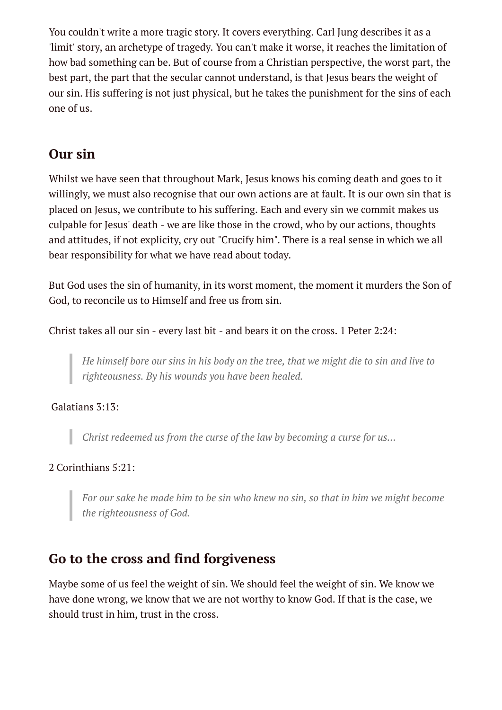You couldn't write a more tragic story. It covers everything. Carl Jung describes it as a 'limit' story, an archetype of tragedy. You can't make it worse, it reaches the limitation of how bad something can be. But of course from a Christian perspective, the worst part, the best part, the part that the secular cannot understand, is that Jesus bears the weight of our sin. His suffering is not just physical, but he takes the punishment for the sins of each one of us.

## **Our sin**

Whilst we have seen that throughout Mark, Jesus knows his coming death and goes to it willingly, we must also recognise that our own actions are at fault. It is our own sin that is placed on Jesus, we contribute to his suffering. Each and every sin we commit makes us culpable for Jesus' death - we are like those in the crowd, who by our actions, thoughts and attitudes, if not explicity, cry out "Crucify him". There is a real sense in which we all bear responsibility for what we have read about today.

But God uses the sin of humanity, in its worst moment, the moment it murders the Son of God, to reconcile us to Himself and free us from sin.

Christ takes all our sin - every last bit - and bears it on the cross. 1 Peter 2:24:

He himself bore our sins in his body on the tree, that we might die to sin and live to *righteousness. By his wounds you have been healed.*

Galatians 3:13:

*Christ redeemed us from the curse of the law by becoming a curse for us...*

#### 2 Corinthians 5:21:

*For our sake he made him to be sin who knew no sin, so that in him we might become the righteousness of God.*

## **Go to the cross and find forgiveness**

Maybe some of us feel the weight of sin. We should feel the weight of sin. We know we have done wrong, we know that we are not worthy to know God. If that is the case, we should trust in him, trust in the cross.